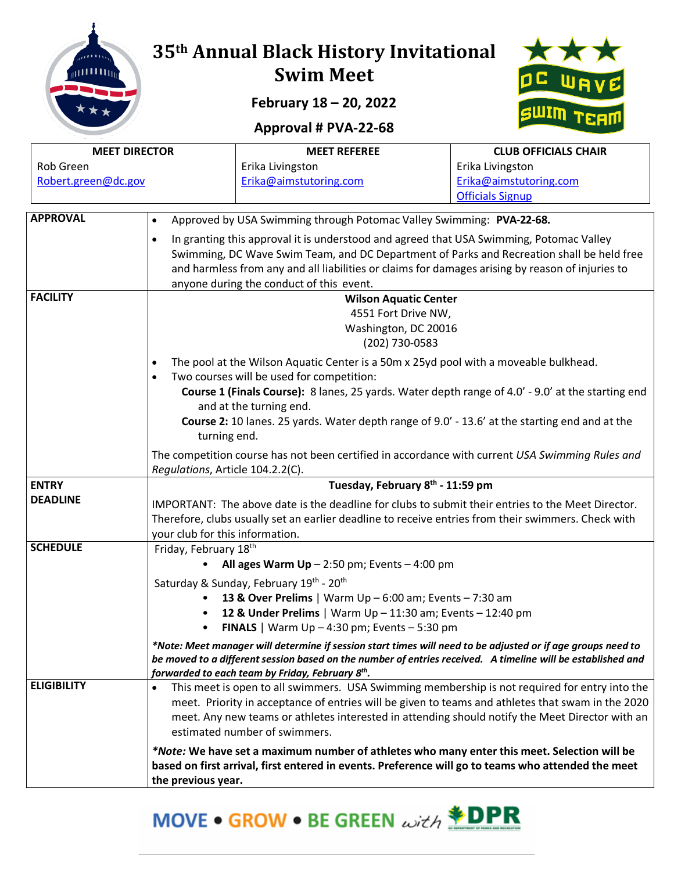

## **35th Annual Black History Invitational Swim Meet**

**February 18 – 20, 2022**

## **Approval # PVA-22-68**



| <b>MEET DIRECTOR</b> |                                                                                                  | <b>MEET REFEREE</b>                                                                                                                                                                                  | <b>CLUB OFFICIALS CHAIR</b> |  |  |  |  |
|----------------------|--------------------------------------------------------------------------------------------------|------------------------------------------------------------------------------------------------------------------------------------------------------------------------------------------------------|-----------------------------|--|--|--|--|
| Rob Green            |                                                                                                  | Erika Livingston                                                                                                                                                                                     | Erika Livingston            |  |  |  |  |
| Robert.green@dc.gov  |                                                                                                  | Erika@aimstutoring.com                                                                                                                                                                               | Erika@aimstutoring.com      |  |  |  |  |
|                      |                                                                                                  |                                                                                                                                                                                                      | <b>Officials Signup</b>     |  |  |  |  |
| <b>APPROVAL</b>      | $\bullet$                                                                                        | Approved by USA Swimming through Potomac Valley Swimming: PVA-22-68.                                                                                                                                 |                             |  |  |  |  |
|                      | $\bullet$                                                                                        | In granting this approval it is understood and agreed that USA Swimming, Potomac Valley                                                                                                              |                             |  |  |  |  |
|                      |                                                                                                  | Swimming, DC Wave Swim Team, and DC Department of Parks and Recreation shall be held free                                                                                                            |                             |  |  |  |  |
|                      | and harmless from any and all liabilities or claims for damages arising by reason of injuries to |                                                                                                                                                                                                      |                             |  |  |  |  |
|                      |                                                                                                  | anyone during the conduct of this event.                                                                                                                                                             |                             |  |  |  |  |
| <b>FACILITY</b>      |                                                                                                  | <b>Wilson Aquatic Center</b>                                                                                                                                                                         |                             |  |  |  |  |
|                      |                                                                                                  | 4551 Fort Drive NW,                                                                                                                                                                                  |                             |  |  |  |  |
|                      |                                                                                                  | Washington, DC 20016                                                                                                                                                                                 |                             |  |  |  |  |
|                      |                                                                                                  | (202) 730-0583                                                                                                                                                                                       |                             |  |  |  |  |
|                      | $\bullet$                                                                                        | The pool at the Wilson Aquatic Center is a 50m x 25yd pool with a moveable bulkhead.<br>Two courses will be used for competition:                                                                    |                             |  |  |  |  |
|                      | ٠                                                                                                | Course 1 (Finals Course): 8 lanes, 25 yards. Water depth range of 4.0' - 9.0' at the starting end                                                                                                    |                             |  |  |  |  |
|                      |                                                                                                  | and at the turning end.                                                                                                                                                                              |                             |  |  |  |  |
|                      |                                                                                                  | Course 2: 10 lanes. 25 yards. Water depth range of 9.0' - 13.6' at the starting end and at the                                                                                                       |                             |  |  |  |  |
|                      | turning end.                                                                                     |                                                                                                                                                                                                      |                             |  |  |  |  |
|                      |                                                                                                  | The competition course has not been certified in accordance with current USA Swimming Rules and                                                                                                      |                             |  |  |  |  |
|                      | Regulations, Article 104.2.2(C).                                                                 |                                                                                                                                                                                                      |                             |  |  |  |  |
| <b>ENTRY</b>         |                                                                                                  | Tuesday, February 8th - 11:59 pm                                                                                                                                                                     |                             |  |  |  |  |
| <b>DEADLINE</b>      |                                                                                                  | IMPORTANT: The above date is the deadline for clubs to submit their entries to the Meet Director.                                                                                                    |                             |  |  |  |  |
|                      |                                                                                                  | Therefore, clubs usually set an earlier deadline to receive entries from their swimmers. Check with                                                                                                  |                             |  |  |  |  |
| <b>SCHEDULE</b>      | your club for this information.                                                                  |                                                                                                                                                                                                      |                             |  |  |  |  |
|                      | Friday, February 18th                                                                            | All ages Warm $Up - 2:50$ pm; Events $- 4:00$ pm                                                                                                                                                     |                             |  |  |  |  |
|                      |                                                                                                  |                                                                                                                                                                                                      |                             |  |  |  |  |
|                      |                                                                                                  | Saturday & Sunday, February 19th - 20th<br>13 & Over Prelims   Warm $Up - 6:00$ am; Events $- 7:30$ am                                                                                               |                             |  |  |  |  |
|                      |                                                                                                  | 12 & Under Prelims   Warm Up - 11:30 am; Events - 12:40 pm                                                                                                                                           |                             |  |  |  |  |
|                      |                                                                                                  | <b>FINALS</b>   Warm $Up - 4:30$ pm; Events $- 5:30$ pm                                                                                                                                              |                             |  |  |  |  |
|                      |                                                                                                  | *Note: Meet manager will determine if session start times will need to be adjusted or if age groups need to                                                                                          |                             |  |  |  |  |
|                      |                                                                                                  | be moved to a different session based on the number of entries received.  A timeline will be established and                                                                                         |                             |  |  |  |  |
| <b>ELIGIBILITY</b>   |                                                                                                  | forwarded to each team by Friday, February 8 <sup>th</sup> .                                                                                                                                         |                             |  |  |  |  |
|                      | ٠                                                                                                | This meet is open to all swimmers. USA Swimming membership is not required for entry into the                                                                                                        |                             |  |  |  |  |
|                      |                                                                                                  | meet. Priority in acceptance of entries will be given to teams and athletes that swam in the 2020<br>meet. Any new teams or athletes interested in attending should notify the Meet Director with an |                             |  |  |  |  |
|                      |                                                                                                  | estimated number of swimmers.                                                                                                                                                                        |                             |  |  |  |  |
|                      |                                                                                                  | *Note: We have set a maximum number of athletes who many enter this meet. Selection will be                                                                                                          |                             |  |  |  |  |
|                      |                                                                                                  | based on first arrival, first entered in events. Preference will go to teams who attended the meet                                                                                                   |                             |  |  |  |  |
|                      | the previous year.                                                                               |                                                                                                                                                                                                      |                             |  |  |  |  |

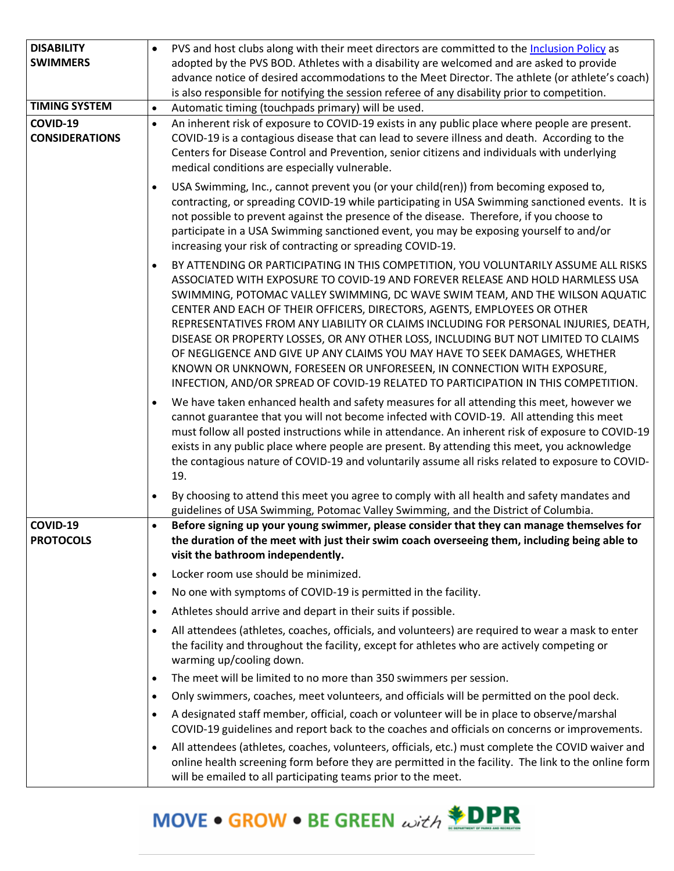| <b>DISABILITY</b>                 | PVS and host clubs along with their meet directors are committed to the Inclusion Policy as<br>$\bullet$                                                                                                                                                                                                                                                                                                                                                                                                                                                                                                                                                                                                                                                                   |
|-----------------------------------|----------------------------------------------------------------------------------------------------------------------------------------------------------------------------------------------------------------------------------------------------------------------------------------------------------------------------------------------------------------------------------------------------------------------------------------------------------------------------------------------------------------------------------------------------------------------------------------------------------------------------------------------------------------------------------------------------------------------------------------------------------------------------|
| <b>SWIMMERS</b>                   | adopted by the PVS BOD. Athletes with a disability are welcomed and are asked to provide                                                                                                                                                                                                                                                                                                                                                                                                                                                                                                                                                                                                                                                                                   |
|                                   | advance notice of desired accommodations to the Meet Director. The athlete (or athlete's coach)                                                                                                                                                                                                                                                                                                                                                                                                                                                                                                                                                                                                                                                                            |
|                                   | is also responsible for notifying the session referee of any disability prior to competition.                                                                                                                                                                                                                                                                                                                                                                                                                                                                                                                                                                                                                                                                              |
| <b>TIMING SYSTEM</b>              | Automatic timing (touchpads primary) will be used.<br>$\bullet$                                                                                                                                                                                                                                                                                                                                                                                                                                                                                                                                                                                                                                                                                                            |
| COVID-19<br><b>CONSIDERATIONS</b> | An inherent risk of exposure to COVID-19 exists in any public place where people are present.<br>$\bullet$<br>COVID-19 is a contagious disease that can lead to severe illness and death. According to the<br>Centers for Disease Control and Prevention, senior citizens and individuals with underlying<br>medical conditions are especially vulnerable.                                                                                                                                                                                                                                                                                                                                                                                                                 |
|                                   | USA Swimming, Inc., cannot prevent you (or your child(ren)) from becoming exposed to,<br>$\bullet$<br>contracting, or spreading COVID-19 while participating in USA Swimming sanctioned events. It is<br>not possible to prevent against the presence of the disease. Therefore, if you choose to<br>participate in a USA Swimming sanctioned event, you may be exposing yourself to and/or<br>increasing your risk of contracting or spreading COVID-19.                                                                                                                                                                                                                                                                                                                  |
|                                   | BY ATTENDING OR PARTICIPATING IN THIS COMPETITION, YOU VOLUNTARILY ASSUME ALL RISKS<br>$\bullet$<br>ASSOCIATED WITH EXPOSURE TO COVID-19 AND FOREVER RELEASE AND HOLD HARMLESS USA<br>SWIMMING, POTOMAC VALLEY SWIMMING, DC WAVE SWIM TEAM, AND THE WILSON AQUATIC<br>CENTER AND EACH OF THEIR OFFICERS, DIRECTORS, AGENTS, EMPLOYEES OR OTHER<br>REPRESENTATIVES FROM ANY LIABILITY OR CLAIMS INCLUDING FOR PERSONAL INJURIES, DEATH,<br>DISEASE OR PROPERTY LOSSES, OR ANY OTHER LOSS, INCLUDING BUT NOT LIMITED TO CLAIMS<br>OF NEGLIGENCE AND GIVE UP ANY CLAIMS YOU MAY HAVE TO SEEK DAMAGES, WHETHER<br>KNOWN OR UNKNOWN, FORESEEN OR UNFORESEEN, IN CONNECTION WITH EXPOSURE,<br>INFECTION, AND/OR SPREAD OF COVID-19 RELATED TO PARTICIPATION IN THIS COMPETITION. |
|                                   | We have taken enhanced health and safety measures for all attending this meet, however we<br>$\bullet$<br>cannot guarantee that you will not become infected with COVID-19. All attending this meet<br>must follow all posted instructions while in attendance. An inherent risk of exposure to COVID-19<br>exists in any public place where people are present. By attending this meet, you acknowledge<br>the contagious nature of COVID-19 and voluntarily assume all risks related to exposure to COVID-<br>19.                                                                                                                                                                                                                                                        |
|                                   | By choosing to attend this meet you agree to comply with all health and safety mandates and<br>$\bullet$<br>guidelines of USA Swimming, Potomac Valley Swimming, and the District of Columbia.                                                                                                                                                                                                                                                                                                                                                                                                                                                                                                                                                                             |
| COVID-19<br><b>PROTOCOLS</b>      | Before signing up your young swimmer, please consider that they can manage themselves for<br>$\bullet$<br>the duration of the meet with just their swim coach overseeing them, including being able to<br>visit the bathroom independently.                                                                                                                                                                                                                                                                                                                                                                                                                                                                                                                                |
|                                   | Locker room use should be minimized.<br>$\bullet$                                                                                                                                                                                                                                                                                                                                                                                                                                                                                                                                                                                                                                                                                                                          |
|                                   | No one with symptoms of COVID-19 is permitted in the facility.<br>$\bullet$                                                                                                                                                                                                                                                                                                                                                                                                                                                                                                                                                                                                                                                                                                |
|                                   | Athletes should arrive and depart in their suits if possible.<br>$\bullet$                                                                                                                                                                                                                                                                                                                                                                                                                                                                                                                                                                                                                                                                                                 |
|                                   | All attendees (athletes, coaches, officials, and volunteers) are required to wear a mask to enter<br>$\bullet$<br>the facility and throughout the facility, except for athletes who are actively competing or<br>warming up/cooling down.                                                                                                                                                                                                                                                                                                                                                                                                                                                                                                                                  |
|                                   | The meet will be limited to no more than 350 swimmers per session.<br>$\bullet$                                                                                                                                                                                                                                                                                                                                                                                                                                                                                                                                                                                                                                                                                            |
|                                   | Only swimmers, coaches, meet volunteers, and officials will be permitted on the pool deck.<br>$\bullet$                                                                                                                                                                                                                                                                                                                                                                                                                                                                                                                                                                                                                                                                    |
|                                   | A designated staff member, official, coach or volunteer will be in place to observe/marshal<br>$\bullet$<br>COVID-19 guidelines and report back to the coaches and officials on concerns or improvements.                                                                                                                                                                                                                                                                                                                                                                                                                                                                                                                                                                  |
|                                   | All attendees (athletes, coaches, volunteers, officials, etc.) must complete the COVID waiver and<br>$\bullet$<br>online health screening form before they are permitted in the facility. The link to the online form<br>will be emailed to all participating teams prior to the meet.                                                                                                                                                                                                                                                                                                                                                                                                                                                                                     |

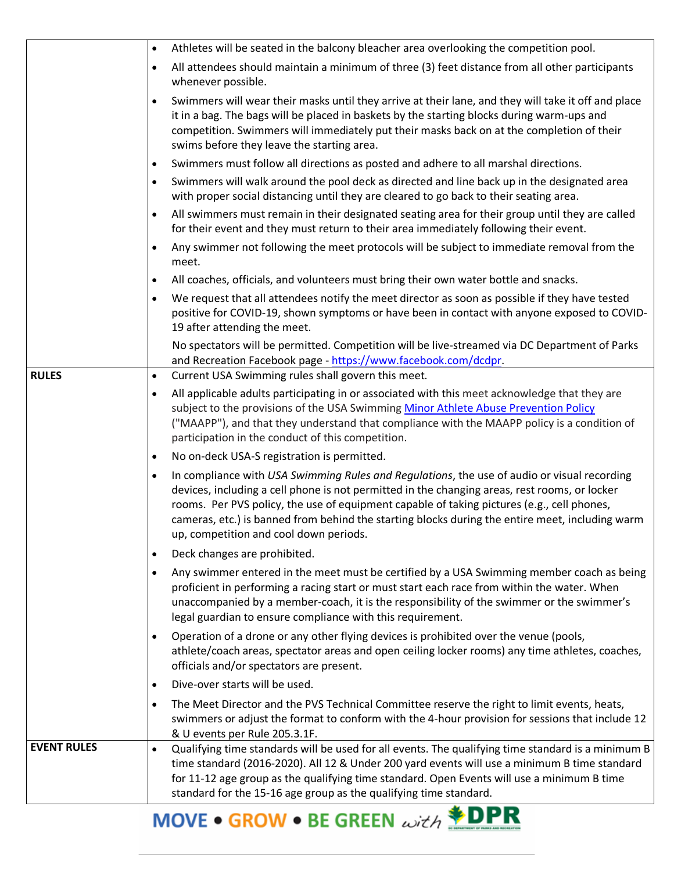|                    | $\bullet$ | Athletes will be seated in the balcony bleacher area overlooking the competition pool.                                                                                                                                                                                                                                                                                                                                                  |
|--------------------|-----------|-----------------------------------------------------------------------------------------------------------------------------------------------------------------------------------------------------------------------------------------------------------------------------------------------------------------------------------------------------------------------------------------------------------------------------------------|
|                    | $\bullet$ | All attendees should maintain a minimum of three (3) feet distance from all other participants<br>whenever possible.                                                                                                                                                                                                                                                                                                                    |
|                    | $\bullet$ | Swimmers will wear their masks until they arrive at their lane, and they will take it off and place<br>it in a bag. The bags will be placed in baskets by the starting blocks during warm-ups and<br>competition. Swimmers will immediately put their masks back on at the completion of their<br>swims before they leave the starting area.                                                                                            |
|                    | $\bullet$ | Swimmers must follow all directions as posted and adhere to all marshal directions.                                                                                                                                                                                                                                                                                                                                                     |
|                    | $\bullet$ | Swimmers will walk around the pool deck as directed and line back up in the designated area<br>with proper social distancing until they are cleared to go back to their seating area.                                                                                                                                                                                                                                                   |
|                    |           | All swimmers must remain in their designated seating area for their group until they are called<br>for their event and they must return to their area immediately following their event.                                                                                                                                                                                                                                                |
|                    |           | Any swimmer not following the meet protocols will be subject to immediate removal from the<br>meet.                                                                                                                                                                                                                                                                                                                                     |
|                    | $\bullet$ | All coaches, officials, and volunteers must bring their own water bottle and snacks.                                                                                                                                                                                                                                                                                                                                                    |
|                    | $\bullet$ | We request that all attendees notify the meet director as soon as possible if they have tested<br>positive for COVID-19, shown symptoms or have been in contact with anyone exposed to COVID-<br>19 after attending the meet.                                                                                                                                                                                                           |
|                    |           | No spectators will be permitted. Competition will be live-streamed via DC Department of Parks<br>and Recreation Facebook page - https://www.facebook.com/dcdpr.                                                                                                                                                                                                                                                                         |
| <b>RULES</b>       | $\bullet$ | Current USA Swimming rules shall govern this meet.                                                                                                                                                                                                                                                                                                                                                                                      |
|                    | $\bullet$ | All applicable adults participating in or associated with this meet acknowledge that they are<br>subject to the provisions of the USA Swimming Minor Athlete Abuse Prevention Policy<br>("MAAPP"), and that they understand that compliance with the MAAPP policy is a condition of<br>participation in the conduct of this competition.                                                                                                |
|                    | $\bullet$ | No on-deck USA-S registration is permitted.                                                                                                                                                                                                                                                                                                                                                                                             |
|                    | $\bullet$ | In compliance with USA Swimming Rules and Regulations, the use of audio or visual recording<br>devices, including a cell phone is not permitted in the changing areas, rest rooms, or locker<br>rooms. Per PVS policy, the use of equipment capable of taking pictures (e.g., cell phones,<br>cameras, etc.) is banned from behind the starting blocks during the entire meet, including warm<br>up, competition and cool down periods. |
|                    | $\bullet$ | Deck changes are prohibited.                                                                                                                                                                                                                                                                                                                                                                                                            |
|                    | $\bullet$ | Any swimmer entered in the meet must be certified by a USA Swimming member coach as being<br>proficient in performing a racing start or must start each race from within the water. When<br>unaccompanied by a member-coach, it is the responsibility of the swimmer or the swimmer's<br>legal guardian to ensure compliance with this requirement.                                                                                     |
|                    | $\bullet$ | Operation of a drone or any other flying devices is prohibited over the venue (pools,<br>athlete/coach areas, spectator areas and open ceiling locker rooms) any time athletes, coaches,<br>officials and/or spectators are present.                                                                                                                                                                                                    |
|                    | $\bullet$ | Dive-over starts will be used.                                                                                                                                                                                                                                                                                                                                                                                                          |
|                    | $\bullet$ | The Meet Director and the PVS Technical Committee reserve the right to limit events, heats,<br>swimmers or adjust the format to conform with the 4-hour provision for sessions that include 12<br>& U events per Rule 205.3.1F.                                                                                                                                                                                                         |
| <b>EVENT RULES</b> | $\bullet$ | Qualifying time standards will be used for all events. The qualifying time standard is a minimum B<br>time standard (2016-2020). All 12 & Under 200 yard events will use a minimum B time standard<br>for 11-12 age group as the qualifying time standard. Open Events will use a minimum B time<br>standard for the 15-16 age group as the qualifying time standard.                                                                   |

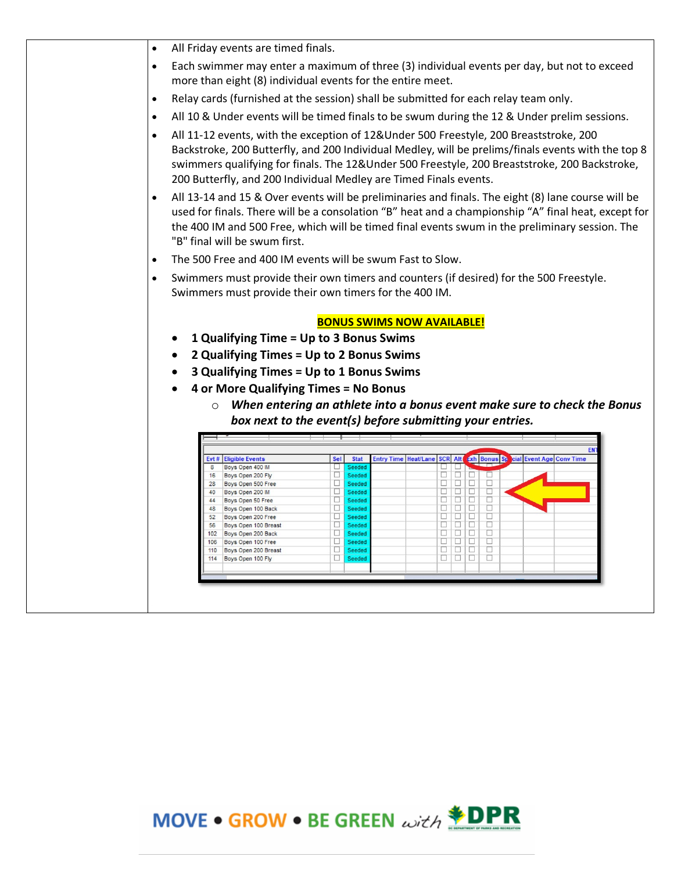| $\bullet$ |                                                                                     |                                                                   |                                                                                         |                                                                                                                                                                                                                                                                                                             |  |  |  |  |
|-----------|-------------------------------------------------------------------------------------|-------------------------------------------------------------------|-----------------------------------------------------------------------------------------|-------------------------------------------------------------------------------------------------------------------------------------------------------------------------------------------------------------------------------------------------------------------------------------------------------------|--|--|--|--|
|           | All Friday events are timed finals.                                                 |                                                                   |                                                                                         |                                                                                                                                                                                                                                                                                                             |  |  |  |  |
| $\bullet$ |                                                                                     | more than eight (8) individual events for the entire meet.        |                                                                                         | Each swimmer may enter a maximum of three (3) individual events per day, but not to exceed                                                                                                                                                                                                                  |  |  |  |  |
| $\bullet$ | Relay cards (furnished at the session) shall be submitted for each relay team only. |                                                                   |                                                                                         |                                                                                                                                                                                                                                                                                                             |  |  |  |  |
| $\bullet$ |                                                                                     |                                                                   |                                                                                         | All 10 & Under events will be timed finals to be swum during the 12 & Under prelim sessions.                                                                                                                                                                                                                |  |  |  |  |
| $\bullet$ |                                                                                     | 200 Butterfly, and 200 Individual Medley are Timed Finals events. | All 11-12 events, with the exception of 12&Under 500 Freestyle, 200 Breaststroke, 200   | Backstroke, 200 Butterfly, and 200 Individual Medley, will be prelims/finals events with the top 8<br>swimmers qualifying for finals. The 12&Under 500 Freestyle, 200 Breaststroke, 200 Backstroke,                                                                                                         |  |  |  |  |
| $\bullet$ | "B" final will be swum first.                                                       |                                                                   |                                                                                         | All 13-14 and 15 & Over events will be preliminaries and finals. The eight (8) lane course will be<br>used for finals. There will be a consolation "B" heat and a championship "A" final heat, except for<br>the 400 IM and 500 Free, which will be timed final events swum in the preliminary session. The |  |  |  |  |
| $\bullet$ |                                                                                     | The 500 Free and 400 IM events will be swum Fast to Slow.         |                                                                                         |                                                                                                                                                                                                                                                                                                             |  |  |  |  |
| $\bullet$ |                                                                                     |                                                                   | Swimmers must provide their own timers and counters (if desired) for the 500 Freestyle. |                                                                                                                                                                                                                                                                                                             |  |  |  |  |
|           |                                                                                     | Swimmers must provide their own timers for the 400 IM.            |                                                                                         |                                                                                                                                                                                                                                                                                                             |  |  |  |  |
|           |                                                                                     |                                                                   |                                                                                         |                                                                                                                                                                                                                                                                                                             |  |  |  |  |
|           |                                                                                     |                                                                   |                                                                                         |                                                                                                                                                                                                                                                                                                             |  |  |  |  |
|           |                                                                                     |                                                                   |                                                                                         |                                                                                                                                                                                                                                                                                                             |  |  |  |  |
|           |                                                                                     | <b>BONUS SWIMS NOW AVAILABLE!</b>                                 |                                                                                         |                                                                                                                                                                                                                                                                                                             |  |  |  |  |
|           |                                                                                     | 1 Qualifying Time = Up to 3 Bonus Swims                           |                                                                                         |                                                                                                                                                                                                                                                                                                             |  |  |  |  |
|           |                                                                                     | 2 Qualifying Times = Up to 2 Bonus Swims                          |                                                                                         |                                                                                                                                                                                                                                                                                                             |  |  |  |  |
|           |                                                                                     | 3 Qualifying Times = Up to 1 Bonus Swims                          |                                                                                         |                                                                                                                                                                                                                                                                                                             |  |  |  |  |
|           |                                                                                     | 4 or More Qualifying Times = No Bonus                             |                                                                                         |                                                                                                                                                                                                                                                                                                             |  |  |  |  |
|           |                                                                                     |                                                                   |                                                                                         |                                                                                                                                                                                                                                                                                                             |  |  |  |  |
| $\circ$   |                                                                                     |                                                                   |                                                                                         |                                                                                                                                                                                                                                                                                                             |  |  |  |  |
|           |                                                                                     |                                                                   | box next to the event(s) before submitting your entries.                                |                                                                                                                                                                                                                                                                                                             |  |  |  |  |
|           |                                                                                     |                                                                   |                                                                                         | When entering an athlete into a bonus event make sure to check the Bonus                                                                                                                                                                                                                                    |  |  |  |  |
|           | <b>Evt # Eligible Events</b>                                                        | <b>Stat</b><br>Sel                                                | <b>SCR Alt Exh Bonus St cial Event Age Conv Time</b><br><b>Entry Time Heat/Lane</b>     | <b>EN</b>                                                                                                                                                                                                                                                                                                   |  |  |  |  |
| 8         | Boys Open 400 IM                                                                    | □<br>Seeded                                                       | □<br>□                                                                                  |                                                                                                                                                                                                                                                                                                             |  |  |  |  |
|           | 16 Boys Open 200 Fly                                                                | □<br>Seeded<br>□<br>Seeded                                        | □<br>oτ<br>□<br>□<br>$\Box$<br>OT<br>□<br>□                                             |                                                                                                                                                                                                                                                                                                             |  |  |  |  |
|           | 28 Boys Open 500 Free<br>40 Boys Open 200 IM                                        | □<br>Seeded                                                       | $\Box$<br>□<br>O<br>□                                                                   |                                                                                                                                                                                                                                                                                                             |  |  |  |  |
|           | 44 Boys Open 50 Free                                                                | □<br>Seeded                                                       | $\Box$<br>□<br>o<br>□                                                                   |                                                                                                                                                                                                                                                                                                             |  |  |  |  |
|           | 48 Boys Open 100 Back                                                               | □<br>Seeded                                                       | α.<br>□<br>□<br>□                                                                       |                                                                                                                                                                                                                                                                                                             |  |  |  |  |
|           | 52 Boys Open 200 Free<br>56 Boys Open 100 Breast                                    | □<br>Seeded<br>п<br>Seeded                                        | □<br>□<br>□<br>□<br>$\Box$<br>σ<br>□<br>$\Box$                                          |                                                                                                                                                                                                                                                                                                             |  |  |  |  |
|           | 102 Boys Open 200 Back                                                              | □<br>Seeded                                                       | $\Box$<br>□<br>O<br>□                                                                   |                                                                                                                                                                                                                                                                                                             |  |  |  |  |
|           | 106 Boys Open 100 Free<br>110 Boys Open 200 Breast                                  | п<br>Seeded<br>□<br>Seeded                                        | $\Box$<br>□<br>п<br>□<br>□<br>□<br>□<br>□                                               |                                                                                                                                                                                                                                                                                                             |  |  |  |  |

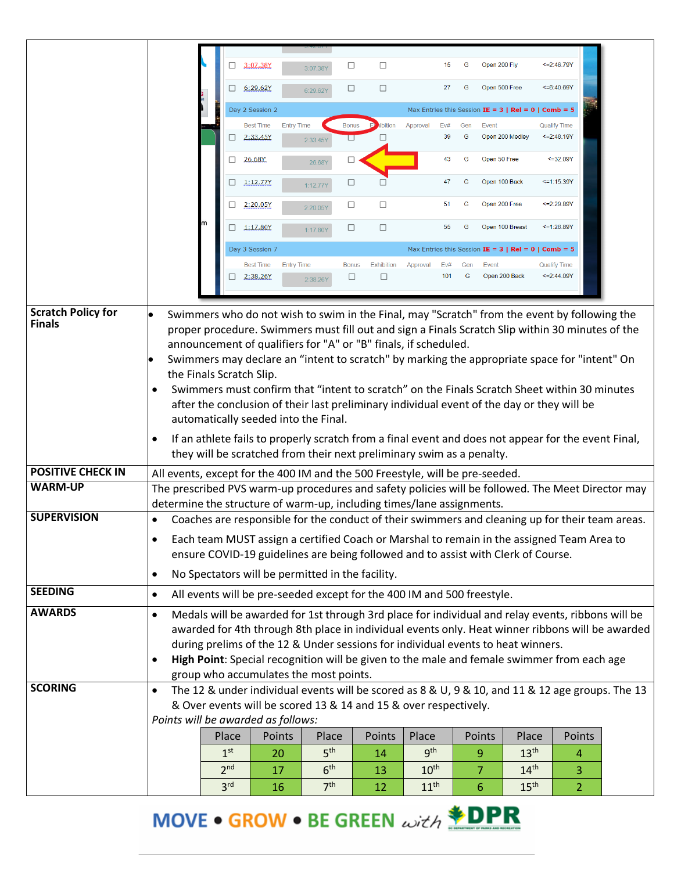|                           |                                                                                                                                                                                                                                                                                                                                                                                                                                                             | □                        | 3:07.38Y         | 3:07.38Y                                                                                                                                                                                                                                                                                                                                  | □            | $\Box$            |                  | 15         | G              | Open 200 Fly                                                 |                  | $\leq$ = 2:46.79Y                  |  |
|---------------------------|-------------------------------------------------------------------------------------------------------------------------------------------------------------------------------------------------------------------------------------------------------------------------------------------------------------------------------------------------------------------------------------------------------------------------------------------------------------|--------------------------|------------------|-------------------------------------------------------------------------------------------------------------------------------------------------------------------------------------------------------------------------------------------------------------------------------------------------------------------------------------------|--------------|-------------------|------------------|------------|----------------|--------------------------------------------------------------|------------------|------------------------------------|--|
|                           |                                                                                                                                                                                                                                                                                                                                                                                                                                                             | □                        | 6:29.62Y         | 6:29.62Y                                                                                                                                                                                                                                                                                                                                  | $\Box$       | $\Box$            |                  | 27         | G              | Open 500 Free                                                |                  | $<=6:40.69Y$                       |  |
|                           |                                                                                                                                                                                                                                                                                                                                                                                                                                                             |                          | Day 2 Session 2  |                                                                                                                                                                                                                                                                                                                                           |              |                   |                  |            |                | Max Entries this Session IE = $3 \mid Rel = 0 \mid Comb = 5$ |                  |                                    |  |
|                           |                                                                                                                                                                                                                                                                                                                                                                                                                                                             |                          | <b>Best Time</b> | <b>Entry Time</b>                                                                                                                                                                                                                                                                                                                         | <b>Bonus</b> | ibition           | Approval         | Ev#        | Gen            | Event                                                        |                  | <b>Qualify Time</b>                |  |
|                           |                                                                                                                                                                                                                                                                                                                                                                                                                                                             | □                        | 2:33.45Y         | 2:33.45Y                                                                                                                                                                                                                                                                                                                                  | □            | П                 |                  | 39         | G              | Open 200 Medley                                              |                  | $\leq$ =2:48.19Y                   |  |
|                           |                                                                                                                                                                                                                                                                                                                                                                                                                                                             | □                        | 26.68Y           | 26.68Y                                                                                                                                                                                                                                                                                                                                    | □            |                   |                  | 43         | G              | Open 50 Free                                                 |                  | $\leq$ =32.09Y                     |  |
|                           |                                                                                                                                                                                                                                                                                                                                                                                                                                                             | □                        | 1:12.77Y         | 1:12.77Y                                                                                                                                                                                                                                                                                                                                  | □            |                   |                  | 47         | G              | Open 100 Back                                                |                  | <= 1:15.39Y                        |  |
|                           |                                                                                                                                                                                                                                                                                                                                                                                                                                                             | ⊔                        | 2:20.05Y         | 2:20.05Y                                                                                                                                                                                                                                                                                                                                  | □            | $\Box$            |                  | 51         | G              | Open 200 Free                                                |                  | <= 2:29.89Y                        |  |
|                           |                                                                                                                                                                                                                                                                                                                                                                                                                                                             | □                        | 1:17.80Y         | 1:17.80Y                                                                                                                                                                                                                                                                                                                                  | $\Box$       | $\Box$            |                  | 55         | G              | Open 100 Breast                                              |                  | 51:26.89Y                          |  |
|                           |                                                                                                                                                                                                                                                                                                                                                                                                                                                             |                          | Day 3 Session 7  |                                                                                                                                                                                                                                                                                                                                           |              |                   |                  |            |                | Max Entries this Session IE = $3 \mid Rel = 0 \mid Comb = 5$ |                  |                                    |  |
|                           |                                                                                                                                                                                                                                                                                                                                                                                                                                                             |                          | <b>Best Time</b> | <b>Entry Time</b>                                                                                                                                                                                                                                                                                                                         | <b>Bonus</b> | <b>Exhibition</b> | Approval         | Ev#<br>101 | Gen<br>G       | Event<br>Open 200 Back                                       |                  | <b>Qualify Time</b><br><= 2:44.09Y |  |
|                           |                                                                                                                                                                                                                                                                                                                                                                                                                                                             | □                        | 2:38.26Y         | 2:38.26Y                                                                                                                                                                                                                                                                                                                                  | □            | $\Box$            |                  |            |                |                                                              |                  |                                    |  |
| <b>Scratch Policy for</b> |                                                                                                                                                                                                                                                                                                                                                                                                                                                             |                          |                  | Swimmers who do not wish to swim in the Final, may "Scratch" from the event by following the                                                                                                                                                                                                                                              |              |                   |                  |            |                |                                                              |                  |                                    |  |
| <b>Finals</b>             |                                                                                                                                                                                                                                                                                                                                                                                                                                                             |                          |                  | proper procedure. Swimmers must fill out and sign a Finals Scratch Slip within 30 minutes of the<br>announcement of qualifiers for "A" or "B" finals, if scheduled.<br>Swimmers may declare an "intent to scratch" by marking the appropriate space for "intent" On                                                                       |              |                   |                  |            |                |                                                              |                  |                                    |  |
|                           | $\bullet$<br>$\bullet$                                                                                                                                                                                                                                                                                                                                                                                                                                      | the Finals Scratch Slip. |                  | Swimmers must confirm that "intent to scratch" on the Finals Scratch Sheet within 30 minutes<br>after the conclusion of their last preliminary individual event of the day or they will be<br>automatically seeded into the Final.<br>If an athlete fails to properly scratch from a final event and does not appear for the event Final, |              |                   |                  |            |                |                                                              |                  |                                    |  |
|                           |                                                                                                                                                                                                                                                                                                                                                                                                                                                             |                          |                  | they will be scratched from their next preliminary swim as a penalty.                                                                                                                                                                                                                                                                     |              |                   |                  |            |                |                                                              |                  |                                    |  |
| <b>POSITIVE CHECK IN</b>  | All events, except for the 400 IM and the 500 Freestyle, will be pre-seeded.                                                                                                                                                                                                                                                                                                                                                                                |                          |                  |                                                                                                                                                                                                                                                                                                                                           |              |                   |                  |            |                |                                                              |                  |                                    |  |
| <b>WARM-UP</b>            | determine the structure of warm-up, including times/lane assignments.                                                                                                                                                                                                                                                                                                                                                                                       |                          |                  | The prescribed PVS warm-up procedures and safety policies will be followed. The Meet Director may                                                                                                                                                                                                                                         |              |                   |                  |            |                |                                                              |                  |                                    |  |
| <b>SUPERVISION</b>        | $\bullet$                                                                                                                                                                                                                                                                                                                                                                                                                                                   |                          |                  | Coaches are responsible for the conduct of their swimmers and cleaning up for their team areas.                                                                                                                                                                                                                                           |              |                   |                  |            |                |                                                              |                  |                                    |  |
|                           | $\bullet$                                                                                                                                                                                                                                                                                                                                                                                                                                                   |                          |                  | Each team MUST assign a certified Coach or Marshal to remain in the assigned Team Area to                                                                                                                                                                                                                                                 |              |                   |                  |            |                |                                                              |                  |                                    |  |
|                           |                                                                                                                                                                                                                                                                                                                                                                                                                                                             |                          |                  | ensure COVID-19 guidelines are being followed and to assist with Clerk of Course.                                                                                                                                                                                                                                                         |              |                   |                  |            |                |                                                              |                  |                                    |  |
|                           | $\bullet$                                                                                                                                                                                                                                                                                                                                                                                                                                                   |                          |                  | No Spectators will be permitted in the facility.                                                                                                                                                                                                                                                                                          |              |                   |                  |            |                |                                                              |                  |                                    |  |
| <b>SEEDING</b>            | $\bullet$                                                                                                                                                                                                                                                                                                                                                                                                                                                   |                          |                  | All events will be pre-seeded except for the 400 IM and 500 freestyle.                                                                                                                                                                                                                                                                    |              |                   |                  |            |                |                                                              |                  |                                    |  |
| <b>AWARDS</b>             |                                                                                                                                                                                                                                                                                                                                                                                                                                                             |                          |                  |                                                                                                                                                                                                                                                                                                                                           |              |                   |                  |            |                |                                                              |                  |                                    |  |
|                           | Medals will be awarded for 1st through 3rd place for individual and relay events, ribbons will be<br>$\bullet$<br>awarded for 4th through 8th place in individual events only. Heat winner ribbons will be awarded<br>during prelims of the 12 & Under sessions for individual events to heat winners.<br>High Point: Special recognition will be given to the male and female swimmer from each age<br>$\bullet$<br>group who accumulates the most points. |                          |                  |                                                                                                                                                                                                                                                                                                                                           |              |                   |                  |            |                |                                                              |                  |                                    |  |
| <b>SCORING</b>            | $\bullet$                                                                                                                                                                                                                                                                                                                                                                                                                                                   |                          |                  | The 12 & under individual events will be scored as 8 & U, 9 & 10, and 11 & 12 age groups. The 13                                                                                                                                                                                                                                          |              |                   |                  |            |                |                                                              |                  |                                    |  |
|                           |                                                                                                                                                                                                                                                                                                                                                                                                                                                             |                          |                  | & Over events will be scored 13 & 14 and 15 & over respectively.                                                                                                                                                                                                                                                                          |              |                   |                  |            |                |                                                              |                  |                                    |  |
|                           | Points will be awarded as follows:                                                                                                                                                                                                                                                                                                                                                                                                                          |                          |                  |                                                                                                                                                                                                                                                                                                                                           |              |                   |                  |            |                |                                                              |                  |                                    |  |
|                           |                                                                                                                                                                                                                                                                                                                                                                                                                                                             | Place                    | Points           | Place                                                                                                                                                                                                                                                                                                                                     |              | Points            | Place            |            | Points         |                                                              | Place            | Points                             |  |
|                           |                                                                                                                                                                                                                                                                                                                                                                                                                                                             | 1 <sup>st</sup>          | 20               | 5 <sup>th</sup>                                                                                                                                                                                                                                                                                                                           |              | 14                | 9 <sup>th</sup>  |            | 9              |                                                              | 13 <sup>th</sup> | 4                                  |  |
|                           |                                                                                                                                                                                                                                                                                                                                                                                                                                                             | 2 <sup>nd</sup>          | 17               | 6 <sup>th</sup>                                                                                                                                                                                                                                                                                                                           |              | 13                | 10 <sup>th</sup> |            | $\overline{7}$ |                                                              | 14 <sup>th</sup> | 3                                  |  |
|                           |                                                                                                                                                                                                                                                                                                                                                                                                                                                             | 3 <sup>rd</sup>          | 16               | 7 <sup>th</sup>                                                                                                                                                                                                                                                                                                                           |              | 12                | 11 <sup>th</sup> |            | 6              |                                                              | 15 <sup>th</sup> | $\overline{2}$                     |  |

MOVE • GROW • BE GREEN with **\*DPR**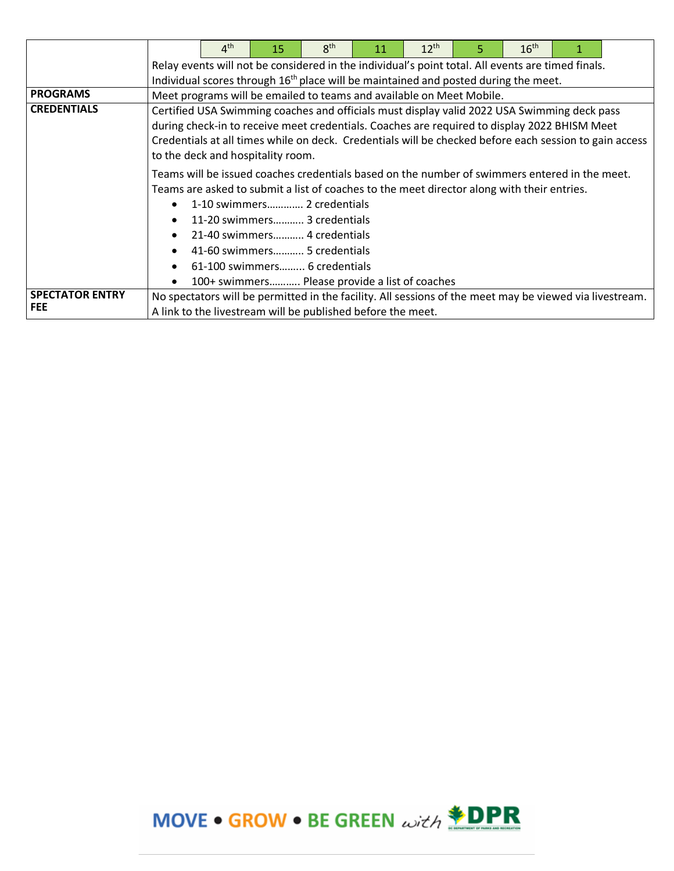|                        |                                                                                                   | 4 <sup>th</sup>                                                                                 | 15 | 8 <sup>th</sup>                                                                                         | 11 | $12^{th}$ | 5 | 16 <sup>th</sup> |  |  |  |
|------------------------|---------------------------------------------------------------------------------------------------|-------------------------------------------------------------------------------------------------|----|---------------------------------------------------------------------------------------------------------|----|-----------|---|------------------|--|--|--|
|                        | Relay events will not be considered in the individual's point total. All events are timed finals. |                                                                                                 |    |                                                                                                         |    |           |   |                  |  |  |  |
|                        |                                                                                                   | Individual scores through 16 <sup>th</sup> place will be maintained and posted during the meet. |    |                                                                                                         |    |           |   |                  |  |  |  |
| <b>PROGRAMS</b>        |                                                                                                   |                                                                                                 |    | Meet programs will be emailed to teams and available on Meet Mobile.                                    |    |           |   |                  |  |  |  |
| <b>CREDENTIALS</b>     |                                                                                                   |                                                                                                 |    | Certified USA Swimming coaches and officials must display valid 2022 USA Swimming deck pass             |    |           |   |                  |  |  |  |
|                        |                                                                                                   |                                                                                                 |    | during check-in to receive meet credentials. Coaches are required to display 2022 BHISM Meet            |    |           |   |                  |  |  |  |
|                        |                                                                                                   |                                                                                                 |    | Credentials at all times while on deck. Credentials will be checked before each session to gain access  |    |           |   |                  |  |  |  |
|                        |                                                                                                   | to the deck and hospitality room.                                                               |    |                                                                                                         |    |           |   |                  |  |  |  |
|                        |                                                                                                   |                                                                                                 |    | Teams will be issued coaches credentials based on the number of swimmers entered in the meet.           |    |           |   |                  |  |  |  |
|                        |                                                                                                   |                                                                                                 |    | Teams are asked to submit a list of coaches to the meet director along with their entries.              |    |           |   |                  |  |  |  |
|                        |                                                                                                   |                                                                                                 |    | 1-10 swimmers 2 credentials                                                                             |    |           |   |                  |  |  |  |
|                        |                                                                                                   |                                                                                                 |    | 11-20 swimmers 3 credentials                                                                            |    |           |   |                  |  |  |  |
|                        |                                                                                                   |                                                                                                 |    | 21-40 swimmers 4 credentials                                                                            |    |           |   |                  |  |  |  |
|                        |                                                                                                   |                                                                                                 |    | 41-60 swimmers 5 credentials                                                                            |    |           |   |                  |  |  |  |
|                        |                                                                                                   |                                                                                                 |    | 61-100 swimmers 6 credentials                                                                           |    |           |   |                  |  |  |  |
|                        |                                                                                                   |                                                                                                 |    | 100+ swimmers Please provide a list of coaches                                                          |    |           |   |                  |  |  |  |
| <b>SPECTATOR ENTRY</b> |                                                                                                   |                                                                                                 |    | No spectators will be permitted in the facility. All sessions of the meet may be viewed via livestream. |    |           |   |                  |  |  |  |
| <b>FEE</b>             | A link to the livestream will be published before the meet.                                       |                                                                                                 |    |                                                                                                         |    |           |   |                  |  |  |  |

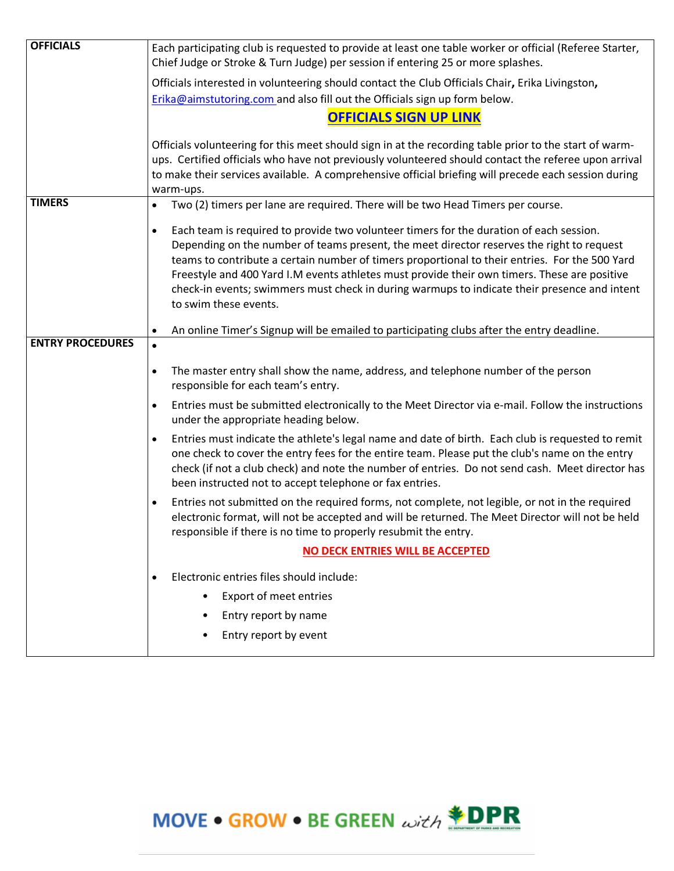| <b>OFFICIALS</b>        | Each participating club is requested to provide at least one table worker or official (Referee Starter,                                                                                                                                                                                                                                                                        |  |  |  |  |  |  |  |
|-------------------------|--------------------------------------------------------------------------------------------------------------------------------------------------------------------------------------------------------------------------------------------------------------------------------------------------------------------------------------------------------------------------------|--|--|--|--|--|--|--|
|                         | Chief Judge or Stroke & Turn Judge) per session if entering 25 or more splashes.                                                                                                                                                                                                                                                                                               |  |  |  |  |  |  |  |
|                         | Officials interested in volunteering should contact the Club Officials Chair, Erika Livingston,                                                                                                                                                                                                                                                                                |  |  |  |  |  |  |  |
|                         | Erika@aimstutoring.com and also fill out the Officials sign up form below.                                                                                                                                                                                                                                                                                                     |  |  |  |  |  |  |  |
|                         | <b>OFFICIALS SIGN UP LINK</b>                                                                                                                                                                                                                                                                                                                                                  |  |  |  |  |  |  |  |
|                         | Officials volunteering for this meet should sign in at the recording table prior to the start of warm-                                                                                                                                                                                                                                                                         |  |  |  |  |  |  |  |
|                         | ups. Certified officials who have not previously volunteered should contact the referee upon arrival                                                                                                                                                                                                                                                                           |  |  |  |  |  |  |  |
|                         | to make their services available. A comprehensive official briefing will precede each session during                                                                                                                                                                                                                                                                           |  |  |  |  |  |  |  |
| <b>TIMERS</b>           | warm-ups.<br>Two (2) timers per lane are required. There will be two Head Timers per course.<br>$\bullet$                                                                                                                                                                                                                                                                      |  |  |  |  |  |  |  |
|                         |                                                                                                                                                                                                                                                                                                                                                                                |  |  |  |  |  |  |  |
|                         | Each team is required to provide two volunteer timers for the duration of each session.<br>$\bullet$                                                                                                                                                                                                                                                                           |  |  |  |  |  |  |  |
|                         | Depending on the number of teams present, the meet director reserves the right to request                                                                                                                                                                                                                                                                                      |  |  |  |  |  |  |  |
|                         | teams to contribute a certain number of timers proportional to their entries. For the 500 Yard<br>Freestyle and 400 Yard I.M events athletes must provide their own timers. These are positive                                                                                                                                                                                 |  |  |  |  |  |  |  |
|                         | check-in events; swimmers must check in during warmups to indicate their presence and intent                                                                                                                                                                                                                                                                                   |  |  |  |  |  |  |  |
|                         | to swim these events.                                                                                                                                                                                                                                                                                                                                                          |  |  |  |  |  |  |  |
|                         |                                                                                                                                                                                                                                                                                                                                                                                |  |  |  |  |  |  |  |
| <b>ENTRY PROCEDURES</b> | An online Timer's Signup will be emailed to participating clubs after the entry deadline.<br>$\bullet$                                                                                                                                                                                                                                                                         |  |  |  |  |  |  |  |
|                         | $\bullet$                                                                                                                                                                                                                                                                                                                                                                      |  |  |  |  |  |  |  |
|                         | The master entry shall show the name, address, and telephone number of the person<br>$\bullet$<br>responsible for each team's entry.                                                                                                                                                                                                                                           |  |  |  |  |  |  |  |
|                         | Entries must be submitted electronically to the Meet Director via e-mail. Follow the instructions<br>$\bullet$<br>under the appropriate heading below.                                                                                                                                                                                                                         |  |  |  |  |  |  |  |
|                         | Entries must indicate the athlete's legal name and date of birth. Each club is requested to remit<br>$\bullet$<br>one check to cover the entry fees for the entire team. Please put the club's name on the entry<br>check (if not a club check) and note the number of entries. Do not send cash. Meet director has<br>been instructed not to accept telephone or fax entries. |  |  |  |  |  |  |  |
|                         | Entries not submitted on the required forms, not complete, not legible, or not in the required<br>$\bullet$<br>electronic format, will not be accepted and will be returned. The Meet Director will not be held<br>responsible if there is no time to properly resubmit the entry.                                                                                             |  |  |  |  |  |  |  |
|                         | NO DECK ENTRIES WILL BE ACCEPTED                                                                                                                                                                                                                                                                                                                                               |  |  |  |  |  |  |  |
|                         | Electronic entries files should include:<br>$\bullet$                                                                                                                                                                                                                                                                                                                          |  |  |  |  |  |  |  |
|                         | <b>Export of meet entries</b>                                                                                                                                                                                                                                                                                                                                                  |  |  |  |  |  |  |  |
|                         | Entry report by name<br>$\bullet$                                                                                                                                                                                                                                                                                                                                              |  |  |  |  |  |  |  |
|                         | Entry report by event<br>$\bullet$                                                                                                                                                                                                                                                                                                                                             |  |  |  |  |  |  |  |
|                         |                                                                                                                                                                                                                                                                                                                                                                                |  |  |  |  |  |  |  |

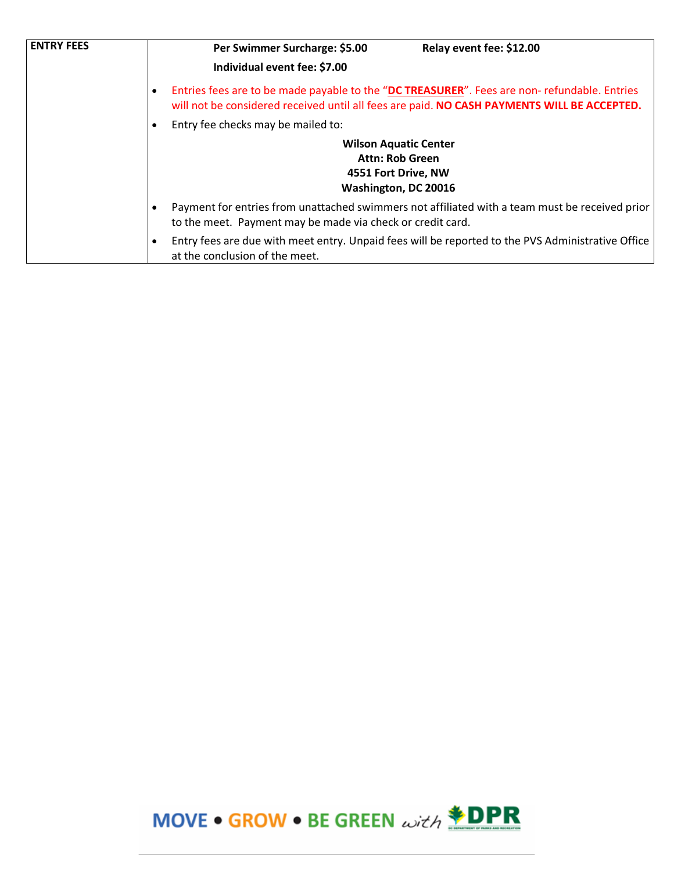| <b>ENTRY FEES</b> | Per Swimmer Surcharge: \$5.00                              | Relay event fee: \$12.00                                                                                                                                                                   |  |  |  |  |  |
|-------------------|------------------------------------------------------------|--------------------------------------------------------------------------------------------------------------------------------------------------------------------------------------------|--|--|--|--|--|
|                   | Individual event fee: \$7.00                               |                                                                                                                                                                                            |  |  |  |  |  |
|                   |                                                            | Entries fees are to be made payable to the "DC TREASURER". Fees are non-refundable. Entries<br>will not be considered received until all fees are paid. NO CASH PAYMENTS WILL BE ACCEPTED. |  |  |  |  |  |
|                   | Entry fee checks may be mailed to:                         |                                                                                                                                                                                            |  |  |  |  |  |
|                   | <b>Wilson Aquatic Center</b>                               |                                                                                                                                                                                            |  |  |  |  |  |
|                   |                                                            | <b>Attn: Rob Green</b>                                                                                                                                                                     |  |  |  |  |  |
|                   |                                                            | 4551 Fort Drive, NW                                                                                                                                                                        |  |  |  |  |  |
|                   |                                                            | Washington, DC 20016                                                                                                                                                                       |  |  |  |  |  |
|                   | to the meet. Payment may be made via check or credit card. | Payment for entries from unattached swimmers not affiliated with a team must be received prior                                                                                             |  |  |  |  |  |
|                   | at the conclusion of the meet.                             | Entry fees are due with meet entry. Unpaid fees will be reported to the PVS Administrative Office                                                                                          |  |  |  |  |  |

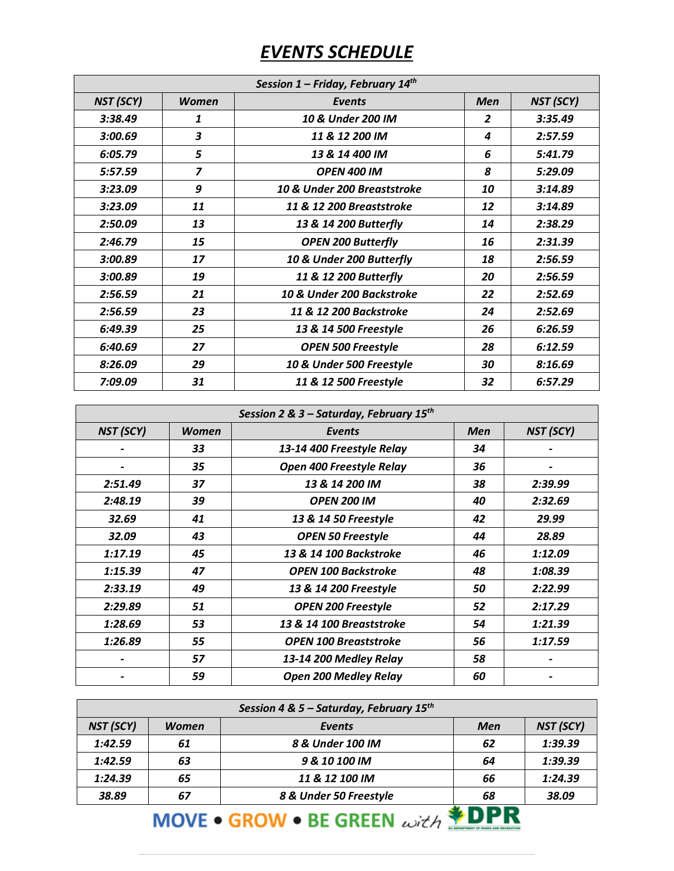## *EVENTS SCHEDULE*

| Session 1 - Friday, February 14th |                         |                             |                |           |  |  |  |
|-----------------------------------|-------------------------|-----------------------------|----------------|-----------|--|--|--|
| NST (SCY)                         | <b>Women</b>            | Events                      | <b>Men</b>     | NST (SCY) |  |  |  |
| 3:38.49                           | 1                       | 10 & Under 200 IM           | $\overline{2}$ | 3:35.49   |  |  |  |
| 3:00.69                           | 3                       | 11 & 12 200 IM              | 4              | 2:57.59   |  |  |  |
| 6:05.79                           | 5                       | 13 & 14 400 IM              | 6              | 5:41.79   |  |  |  |
| 5:57.59                           | $\overline{\mathbf{z}}$ | <b>OPEN 400 IM</b>          | 8              | 5:29.09   |  |  |  |
| 3:23.09                           | 9                       | 10 & Under 200 Breaststroke | 10             | 3:14.89   |  |  |  |
| 3:23.09                           | 11                      | 11 & 12 200 Breaststroke    | 12             | 3:14.89   |  |  |  |
| 2:50.09                           | 13                      | 13 & 14 200 Butterfly       | 14             | 2:38.29   |  |  |  |
| 2:46.79                           | 15                      | <b>OPEN 200 Butterfly</b>   | 16             | 2:31.39   |  |  |  |
| 3:00.89                           | 17                      | 10 & Under 200 Butterfly    | 18             | 2:56.59   |  |  |  |
| 3:00.89                           | 19                      | 11 & 12 200 Butterfly       | 20             | 2:56.59   |  |  |  |
| 2:56.59                           | 21                      | 10 & Under 200 Backstroke   | 22             | 2:52.69   |  |  |  |
| 2:56.59                           | 23                      | 11 & 12 200 Backstroke      | 24             | 2:52.69   |  |  |  |
| 6:49.39                           | 25                      | 13 & 14 500 Freestyle       | 26             | 6:26.59   |  |  |  |
| 6:40.69                           | 27                      | <b>OPEN 500 Freestyle</b>   | 28             | 6:12.59   |  |  |  |
| 8:26.09                           | 29                      | 10 & Under 500 Freestyle    | 30             | 8:16.69   |  |  |  |
| 7:09.09                           | 31                      | 11 & 12 500 Freestyle       | 32             | 6:57.29   |  |  |  |

| Session 2 & 3 - Saturday, February 15 <sup>th</sup> |              |                              |            |           |  |  |  |
|-----------------------------------------------------|--------------|------------------------------|------------|-----------|--|--|--|
| NST (SCY)                                           | <b>Women</b> | <b>Events</b>                | <b>Men</b> | NST (SCY) |  |  |  |
|                                                     | 33           | 13-14 400 Freestyle Relay    | 34         |           |  |  |  |
|                                                     | 35           | Open 400 Freestyle Relay     | 36         |           |  |  |  |
| 2:51.49                                             | 37           | 13 & 14 200 IM               | 38         | 2:39.99   |  |  |  |
| 2:48.19                                             | 39           | <b>OPEN 200 IM</b>           | 40         | 2:32.69   |  |  |  |
| 32.69                                               | 41           | 13 & 14 50 Freestyle         | 42         | 29.99     |  |  |  |
| 32.09                                               | 43           | <b>OPEN 50 Freestyle</b>     | 44         | 28.89     |  |  |  |
| 1:17.19                                             | 45           | 13 & 14 100 Backstroke       | 46         | 1:12.09   |  |  |  |
| 1:15.39                                             | 47           | <b>OPEN 100 Backstroke</b>   | 48         | 1:08.39   |  |  |  |
| 2:33.19                                             | 49           | 13 & 14 200 Freestyle        | 50         | 2:22.99   |  |  |  |
| 2:29.89                                             | 51           | <b>OPEN 200 Freestyle</b>    | 52         | 2:17.29   |  |  |  |
| 1:28.69                                             | 53           | 13 & 14 100 Breaststroke     | 54         | 1:21.39   |  |  |  |
| 1:26.89                                             | 55           | <b>OPEN 100 Breaststroke</b> | 56         | 1:17.59   |  |  |  |
|                                                     | 57           | 13-14 200 Medley Relay       | 58         |           |  |  |  |
|                                                     | 59           | <b>Open 200 Medley Relay</b> | 60         |           |  |  |  |

| Session 4 & 5 – Saturday, February 15 <sup>th</sup> |              |                        |     |           |  |  |  |  |  |  |
|-----------------------------------------------------|--------------|------------------------|-----|-----------|--|--|--|--|--|--|
| NST (SCY)                                           | <b>Women</b> | Events                 | Men | NST (SCY) |  |  |  |  |  |  |
| 1:42.59                                             | 61           | 8 & Under 100 IM       | 62  | 1:39.39   |  |  |  |  |  |  |
| 1:42.59                                             | 63           | 9 & 10 100 IM          | 64  | 1:39.39   |  |  |  |  |  |  |
| 1:24.39                                             | 65           | 11 & 12 100 IM         | 66  | 1:24.39   |  |  |  |  |  |  |
| 38.89                                               | 67           | 8 & Under 50 Freestyle | 68  | 38.09     |  |  |  |  |  |  |
|                                                     |              |                        |     |           |  |  |  |  |  |  |

## **MOVE • GROW • BE GREEN**  $\omega$ **ith <b>\* DPR**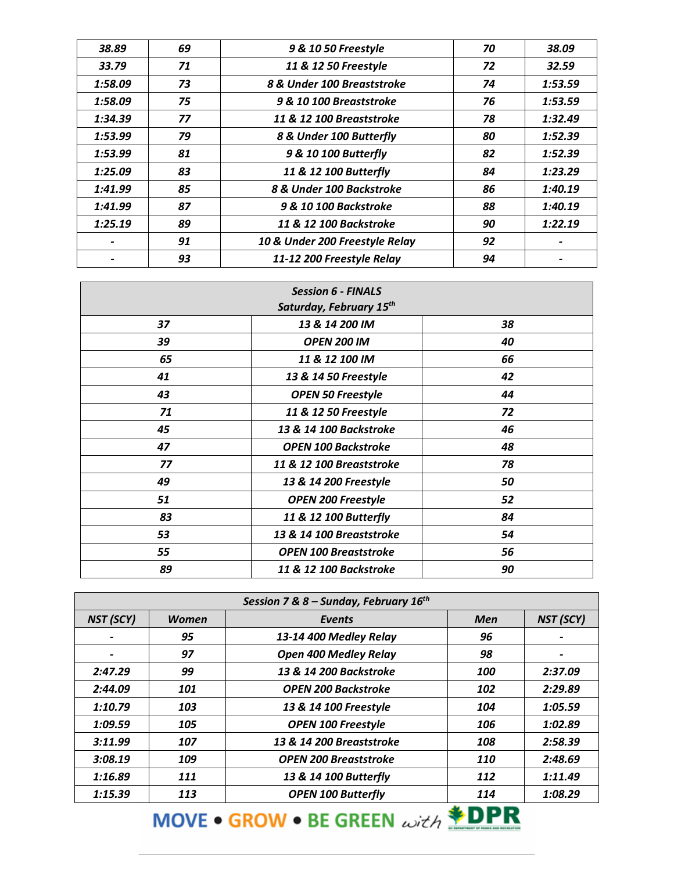| 38.89   | 69 | 9 & 10 50 Freestyle            | 70 | 38.09   |
|---------|----|--------------------------------|----|---------|
| 33.79   | 71 | 11 & 12 50 Freestyle           | 72 | 32.59   |
| 1:58.09 | 73 | 8 & Under 100 Breaststroke     | 74 | 1:53.59 |
| 1:58.09 | 75 | 9 & 10 100 Breaststroke        | 76 | 1:53.59 |
| 1:34.39 | 77 | 11 & 12 100 Breaststroke       | 78 | 1:32.49 |
| 1:53.99 | 79 | 8 & Under 100 Butterfly        | 80 | 1:52.39 |
| 1:53.99 | 81 | 9 & 10 100 Butterfly           | 82 | 1:52.39 |
| 1:25.09 | 83 | 11 & 12 100 Butterfly          | 84 | 1:23.29 |
| 1:41.99 | 85 | 8 & Under 100 Backstroke       | 86 | 1:40.19 |
| 1:41.99 | 87 | 9 & 10 100 Backstroke          | 88 | 1:40.19 |
| 1:25.19 | 89 | 11 & 12 100 Backstroke         | 90 | 1:22.19 |
|         | 91 | 10 & Under 200 Freestyle Relay | 92 |         |
|         | 93 | 11-12 200 Freestyle Relay      | 94 |         |

| <b>Session 6 - FINALS</b><br>Saturday, February 15 <sup>th</sup> |                              |    |
|------------------------------------------------------------------|------------------------------|----|
|                                                                  |                              |    |
| 37                                                               | 13 & 14 200 IM               | 38 |
| 39                                                               | <b>OPEN 200 IM</b>           | 40 |
| 65                                                               | 11 & 12 100 IM               | 66 |
| 41                                                               | 13 & 14 50 Freestyle         | 42 |
| 43                                                               | <b>OPEN 50 Freestyle</b>     | 44 |
| 71                                                               | 11 & 12 50 Freestyle         | 72 |
| 45                                                               | 13 & 14 100 Backstroke       | 46 |
| 47                                                               | <b>OPEN 100 Backstroke</b>   | 48 |
| 77                                                               | 11 & 12 100 Breaststroke     | 78 |
| 49                                                               | 13 & 14 200 Freestyle        | 50 |
| 51                                                               | <b>OPEN 200 Freestyle</b>    | 52 |
| 83                                                               | 11 & 12 100 Butterfly        | 84 |
| 53                                                               | 13 & 14 100 Breaststroke     | 54 |
| 55                                                               | <b>OPEN 100 Breaststroke</b> | 56 |
| 89                                                               | 11 & 12 100 Backstroke       | 90 |

| Session 7 & 8 – Sunday, February $16^{th}$ |              |                              |            |                          |
|--------------------------------------------|--------------|------------------------------|------------|--------------------------|
| NST (SCY)                                  | <b>Women</b> | Events                       | <b>Men</b> | NST (SCY)                |
|                                            | 95           | 13-14 400 Medley Relay       | 96         |                          |
|                                            | 97           | <b>Open 400 Medley Relay</b> | 98         | $\overline{\phantom{a}}$ |
| 2:47.29                                    | 99           | 13 & 14 200 Backstroke       | 100        | 2:37.09                  |
| 2:44.09                                    | 101          | <b>OPEN 200 Backstroke</b>   | 102        | 2:29.89                  |
| 1:10.79                                    | 103          | 13 & 14 100 Freestyle        | 104        | 1:05.59                  |
| 1:09.59                                    | 105          | <b>OPEN 100 Freestyle</b>    | 106        | 1:02.89                  |
| 3:11.99                                    | 107          | 13 & 14 200 Breaststroke     | 108        | 2:58.39                  |
| 3:08.19                                    | 109          | <b>OPEN 200 Breaststroke</b> | 110        | 2:48.69                  |
| 1:16.89                                    | 111          | 13 & 14 100 Butterfly        | 112        | 1:11.49                  |
| 1:15.39                                    | 113          | <b>OPEN 100 Butterfly</b>    | 114        | 1:08.29                  |

MOVE • GROW • BE GREEN with **\*DPR**